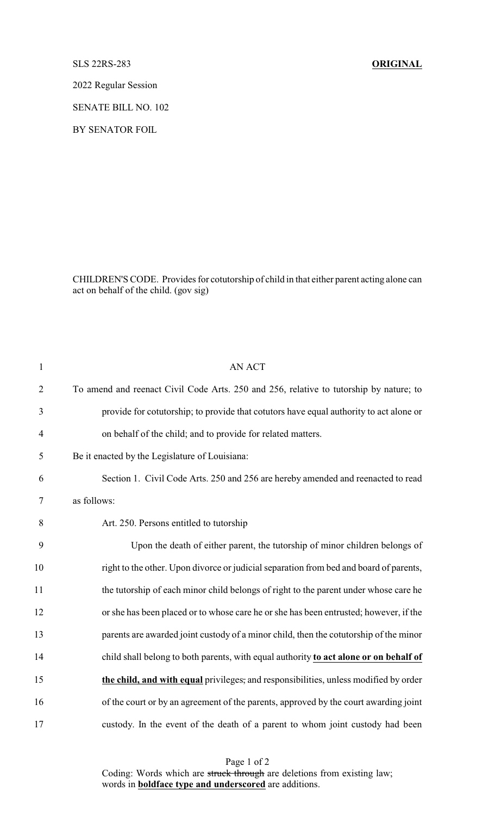SLS 22RS-283 **ORIGINAL**

2022 Regular Session

SENATE BILL NO. 102

BY SENATOR FOIL

CHILDREN'S CODE. Provides for cotutorship of child in that either parent acting alone can act on behalf of the child. (gov sig)

| 1              | <b>AN ACT</b>                                                                          |
|----------------|----------------------------------------------------------------------------------------|
| $\overline{2}$ | To amend and reenact Civil Code Arts. 250 and 256, relative to tutorship by nature; to |
| 3              | provide for cotutorship; to provide that cotutors have equal authority to act alone or |
| $\overline{4}$ | on behalf of the child; and to provide for related matters.                            |
| 5              | Be it enacted by the Legislature of Louisiana:                                         |
| 6              | Section 1. Civil Code Arts. 250 and 256 are hereby amended and reenacted to read       |
| 7              | as follows:                                                                            |
| 8              | Art. 250. Persons entitled to tutorship                                                |
| 9              | Upon the death of either parent, the tutorship of minor children belongs of            |
| 10             | right to the other. Upon divorce or judicial separation from bed and board of parents, |
| 11             | the tutorship of each minor child belongs of right to the parent under whose care he   |
| 12             | or she has been placed or to whose care he or she has been entrusted; however, if the  |
| 13             | parents are awarded joint custody of a minor child, then the cotutorship of the minor  |
| 14             | child shall belong to both parents, with equal authority to act alone or on behalf of  |
| 15             | the child, and with equal privileges, and responsibilities, unless modified by order   |
| 16             | of the court or by an agreement of the parents, approved by the court awarding joint   |
| 17             | custody. In the event of the death of a parent to whom joint custody had been          |

Page 1 of 2 Coding: Words which are struck through are deletions from existing law; words in **boldface type and underscored** are additions.